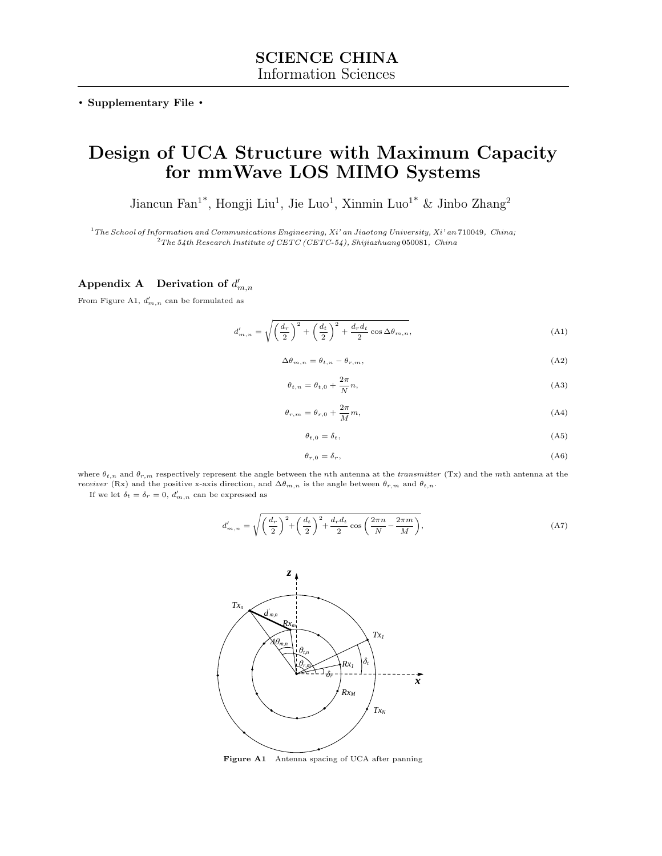. Supplementary File .

# Design of UCA Structure with Maximum Capacity for mmWave LOS MIMO Systems

Jiancun Fan<sup>1\*</sup>, Hongji Liu<sup>1</sup>, Jie Luo<sup>1</sup>, Xinmin Luo<sup>1\*</sup> & Jinbo Zhang<sup>2</sup>

 $1$ <sup>1</sup>The School of Information and Communications Engineering, Xi' an Jiaotong University, Xi' an 710049, China;  $2$ The 54th Research Institute of CETC (CETC-54), Shijiazhuang 050081, China

## Appendix A Derivation of  $d'_{m,n}$

From Figure [A1,](#page-0-0)  $d'_{m,n}$  can be formulated as

$$
d'_{m,n} = \sqrt{\left(\frac{d_r}{2}\right)^2 + \left(\frac{d_t}{2}\right)^2 + \frac{d_r d_t}{2} \cos \Delta \theta_{m,n}},\tag{A1}
$$

$$
\Delta\theta_{m,n} = \theta_{t,n} - \theta_{r,m},\tag{A2}
$$

$$
\theta_{t,n} = \theta_{t,0} + \frac{2\pi}{N}n,\tag{A3}
$$

$$
\theta_{r,m} = \theta_{r,0} + \frac{2\pi}{M}m,\tag{A4}
$$

$$
\theta_{t,0} = \delta_t,\tag{A5}
$$

$$
\theta_{r,0} = \delta_r,\tag{A6}
$$

where  $\theta_{t,n}$  and  $\theta_{r,m}$  respectively represent the angle between the nth antenna at the transmitter (Tx) and the mth antenna at the receiver (Rx) and the positive x-axis direction, and  $\Delta\theta_{m,n}$  is the angle between  $\theta_{r,m}$  and  $\theta_{t,n}$ .

<span id="page-0-0"></span>If we let  $\delta_t = \delta_r = 0$ ,  $d'_{m,n}$  can be expressed as

$$
d'_{m,n} = \sqrt{\left(\frac{d_r}{2}\right)^2 + \left(\frac{d_t}{2}\right)^2 + \frac{d_r d_t}{2} \cos\left(\frac{2\pi n}{N} - \frac{2\pi m}{M}\right)},
$$
(A7)



Figure A1 Antenna spacing of UCA after panning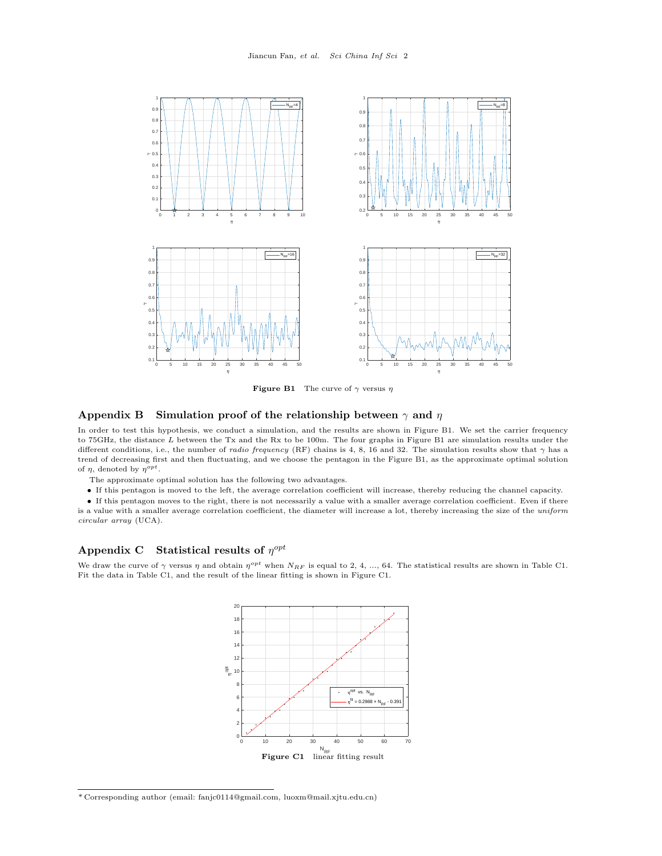<span id="page-1-0"></span>

**Figure B1** The curve of  $\gamma$  versus  $\eta$ 

#### Appendix B Simulation proof of the relationship between  $\gamma$  and  $\eta$

In order to test this hypothesis, we conduct a simulation, and the results are shown in Figure [B1.](#page-1-0) We set the carrier frequency to 75GHz, the distance L between the Tx and the Rx to be 100m. The four graphs in Figure [B1](#page-1-0) are simulation results under the different conditions, i.e., the number of *radio frequency* (RF) chains is 4, 8, 16 and 32. The simulation results show that  $\gamma$  has a trend of decreasing first and then fluctuating, and we choose the pentagon in the Figure [B1,](#page-1-0) as the approximate optimal solution of  $\eta$ , denoted by  $\eta^{opt}$ .

The approximate optimal solution has the following two advantages.

• If this pentagon is moved to the left, the average correlation coefficient will increase, thereby reducing the channel capacity.

• If this pentagon moves to the right, there is not necessarily a value with a smaller average correlation coefficient. Even if there is a value with a smaller average correlation coefficient, the diameter will increase a lot, thereby increasing the size of the uniform circular array (UCA).

### Appendix C Statistical results of  $\eta^{opt}$

<span id="page-1-1"></span>We draw the curve of  $\gamma$  versus  $\eta$  and obtain  $\eta^{opt}$  when  $N_{RF}$  is equal to 2, 4, ..., 64. The statistical results are shown in Table [C1.](#page-2-0) Fit the data in Table [C1,](#page-2-0) and the result of the linear fitting is shown in Figure [C1.](#page-1-1)



 $^*$  Corresponding author (email: fanjc0114@gmail.com, luoxm@mail.xjtu.edu.cn)